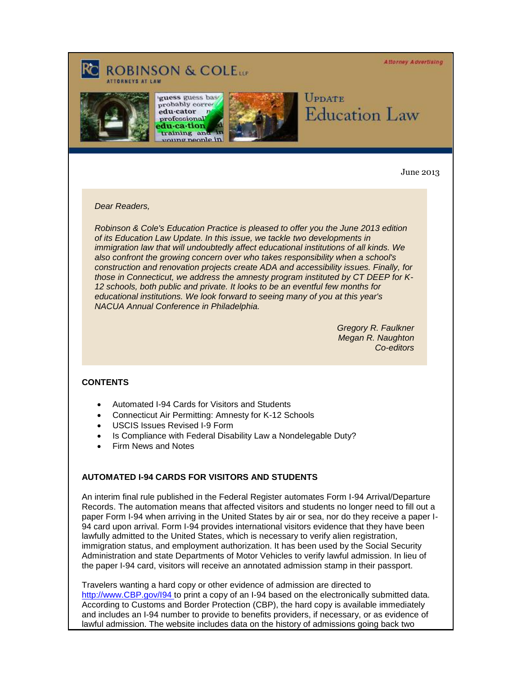**Attorney Advertising** 

# **ROBINSON & COLEUR**







# UPDATE **Education Law**

June 2013

#### *Dear Readers,*

*Robinson & Cole's Education Practice is pleased to offer you the June 2013 edition of its Education Law Update. In this issue, we tackle two developments in immigration law that will undoubtedly affect educational institutions of all kinds. We also confront the growing concern over who takes responsibility when a school's construction and renovation projects create ADA and accessibility issues. Finally, for those in Connecticut, we address the amnesty program instituted by CT DEEP for K-12 schools, both public and private. It looks to be an eventful few months for educational institutions. We look forward to seeing many of you at this year's NACUA Annual Conference in Philadelphia.* 

> *Gregory R. Faulkner Megan R. Naughton Co-editors*

# **CONTENTS**

- Automated I-94 Cards for Visitors and Students
- Connecticut Air Permitting: Amnesty for K-12 Schools
- USCIS Issues Revised I-9 Form
- Is Compliance with Federal Disability Law a Nondelegable Duty?
- Firm News and Notes

## **AUTOMATED I-94 CARDS FOR VISITORS AND STUDENTS**

An interim final rule published in the Federal Register automates Form I-94 Arrival/Departure Records. The automation means that affected visitors and students no longer need to fill out a paper Form I-94 when arriving in the United States by air or sea, nor do they receive a paper I-94 card upon arrival. Form I-94 provides international visitors evidence that they have been lawfully admitted to the United States, which is necessary to verify alien registration, immigration status, and employment authorization. It has been used by the Social Security Administration and state Departments of Motor Vehicles to verify lawful admission. In lieu of the paper I-94 card, visitors will receive an annotated admission stamp in their passport.

Travelers wanting a hard copy or other evidence of admission are directed to [http://www.CBP.gov/I94 t](http://cl.exct.net/?ju=fe2d177771640475761372&ls=fdb4157272670075741d79736d&m=fefb1671756c0d&l=fec811727763027c&s=fe2812727d670c7d771175&jb=ffcf14&t=)o print a copy of an I-94 based on the electronically submitted data. According to Customs and Border Protection (CBP), the hard copy is available immediately and includes an I-94 number to provide to benefits providers, if necessary, or as evidence of lawful admission. The website includes data on the history of admissions going back two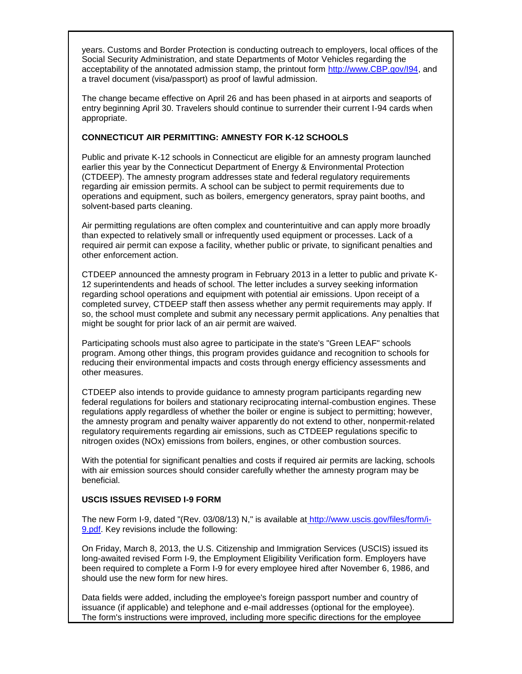years. Customs and Border Protection is conducting outreach to employers, local offices of the Social Security Administration, and state Departments of Motor Vehicles regarding the acceptability of the annotated admission stamp, the printout form http://www.CBP.gov/l94, and a travel document (visa/passport) as proof of lawful admission.

The change became effective on April 26 and has been phased in at airports and seaports of entry beginning April 30. Travelers should continue to surrender their current I-94 cards when appropriate.

## **CONNECTICUT AIR PERMITTING: AMNESTY FOR K-12 SCHOOLS**

Public and private K-12 schools in Connecticut are eligible for an amnesty program launched earlier this year by the Connecticut Department of Energy & Environmental Protection (CTDEEP). The amnesty program addresses state and federal regulatory requirements regarding air emission permits. A school can be subject to permit requirements due to operations and equipment, such as boilers, emergency generators, spray paint booths, and solvent-based parts cleaning.

Air permitting regulations are often complex and counterintuitive and can apply more broadly than expected to relatively small or infrequently used equipment or processes. Lack of a required air permit can expose a facility, whether public or private, to significant penalties and other enforcement action.

CTDEEP announced the amnesty program in February 2013 in a letter to public and private K-12 superintendents and heads of school. The letter includes a survey seeking information regarding school operations and equipment with potential air emissions. Upon receipt of a completed survey, CTDEEP staff then assess whether any permit requirements may apply. If so, the school must complete and submit any necessary permit applications. Any penalties that might be sought for prior lack of an air permit are waived.

Participating schools must also agree to participate in the state's "Green LEAF" schools program. Among other things, this program provides guidance and recognition to schools for reducing their environmental impacts and costs through energy efficiency assessments and other measures.

CTDEEP also intends to provide guidance to amnesty program participants regarding new federal regulations for boilers and stationary reciprocating internal-combustion engines. These regulations apply regardless of whether the boiler or engine is subject to permitting; however, the amnesty program and penalty waiver apparently do not extend to other, nonpermit-related regulatory requirements regarding air emissions, such as CTDEEP regulations specific to nitrogen oxides (NOx) emissions from boilers, engines, or other combustion sources.

With the potential for significant penalties and costs if required air permits are lacking, schools with air emission sources should consider carefully whether the amnesty program may be beneficial.

#### **USCIS ISSUES REVISED I-9 FORM**

The new Form I-9, dated "(Rev. 03/08/13) N," is available at [http://www.uscis.gov/files/form/i-](http://cl.exct.net/?ju=fe2b177771640475761374&ls=fdb4157272670075741d79736d&m=fefb1671756c0d&l=fec811727763027c&s=fe2812727d670c7d771175&jb=ffcf14&t=)[9.pdf.](http://cl.exct.net/?ju=fe2b177771640475761374&ls=fdb4157272670075741d79736d&m=fefb1671756c0d&l=fec811727763027c&s=fe2812727d670c7d771175&jb=ffcf14&t=) Key revisions include the following:

On Friday, March 8, 2013, the U.S. Citizenship and Immigration Services (USCIS) issued its long-awaited revised Form I-9, the Employment Eligibility Verification form. Employers have been required to complete a Form I-9 for every employee hired after November 6, 1986, and should use the new form for new hires.

Data fields were added, including the employee's foreign passport number and country of issuance (if applicable) and telephone and e-mail addresses (optional for the employee). The form's instructions were improved, including more specific directions for the employee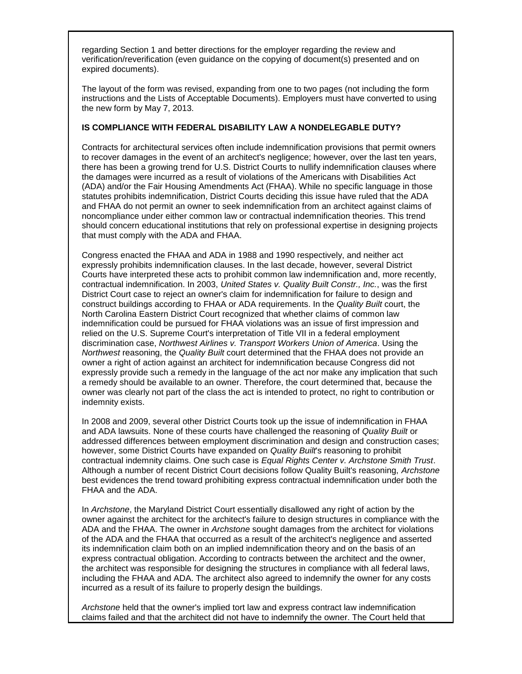regarding Section 1 and better directions for the employer regarding the review and verification/reverification (even guidance on the copying of document(s) presented and on expired documents).

The layout of the form was revised, expanding from one to two pages (not including the form instructions and the Lists of Acceptable Documents). Employers must have converted to using the new form by May 7, 2013.

## **IS COMPLIANCE WITH FEDERAL DISABILITY LAW A NONDELEGABLE DUTY?**

Contracts for architectural services often include indemnification provisions that permit owners to recover damages in the event of an architect's negligence; however, over the last ten years, there has been a growing trend for U.S. District Courts to nullify indemnification clauses where the damages were incurred as a result of violations of the Americans with Disabilities Act (ADA) and/or the Fair Housing Amendments Act (FHAA). While no specific language in those statutes prohibits indemnification, District Courts deciding this issue have ruled that the ADA and FHAA do not permit an owner to seek indemnification from an architect against claims of noncompliance under either common law or contractual indemnification theories. This trend should concern educational institutions that rely on professional expertise in designing projects that must comply with the ADA and FHAA.

Congress enacted the FHAA and ADA in 1988 and 1990 respectively, and neither act expressly prohibits indemnification clauses. In the last decade, however, several District Courts have interpreted these acts to prohibit common law indemnification and, more recently, contractual indemnification. In 2003, *United States v. Quality Built Constr., Inc.*, was the first District Court case to reject an owner's claim for indemnification for failure to design and construct buildings according to FHAA or ADA requirements. In the *Quality Built* court, the North Carolina Eastern District Court recognized that whether claims of common law indemnification could be pursued for FHAA violations was an issue of first impression and relied on the U.S. Supreme Court's interpretation of Title VII in a federal employment discrimination case, *Northwest Airlines v. Transport Workers Union of America*. Using the *Northwest* reasoning, the *Quality Built* court determined that the FHAA does not provide an owner a right of action against an architect for indemnification because Congress did not expressly provide such a remedy in the language of the act nor make any implication that such a remedy should be available to an owner. Therefore, the court determined that, because the owner was clearly not part of the class the act is intended to protect, no right to contribution or indemnity exists.

In 2008 and 2009, several other District Courts took up the issue of indemnification in FHAA and ADA lawsuits. None of these courts have challenged the reasoning of *Quality Built* or addressed differences between employment discrimination and design and construction cases; however, some District Courts have expanded on *Quality Built*'s reasoning to prohibit contractual indemnity claims. One such case is *Equal Rights Center v. Archstone Smith Trust*. Although a number of recent District Court decisions follow Quality Built's reasoning, *Archstone* best evidences the trend toward prohibiting express contractual indemnification under both the FHAA and the ADA.

In *Archstone*, the Maryland District Court essentially disallowed any right of action by the owner against the architect for the architect's failure to design structures in compliance with the ADA and the FHAA. The owner in *Archstone* sought damages from the architect for violations of the ADA and the FHAA that occurred as a result of the architect's negligence and asserted its indemnification claim both on an implied indemnification theory and on the basis of an express contractual obligation. According to contracts between the architect and the owner, the architect was responsible for designing the structures in compliance with all federal laws, including the FHAA and ADA. The architect also agreed to indemnify the owner for any costs incurred as a result of its failure to properly design the buildings.

*Archstone* held that the owner's implied tort law and express contract law indemnification claims failed and that the architect did not have to indemnify the owner. The Court held that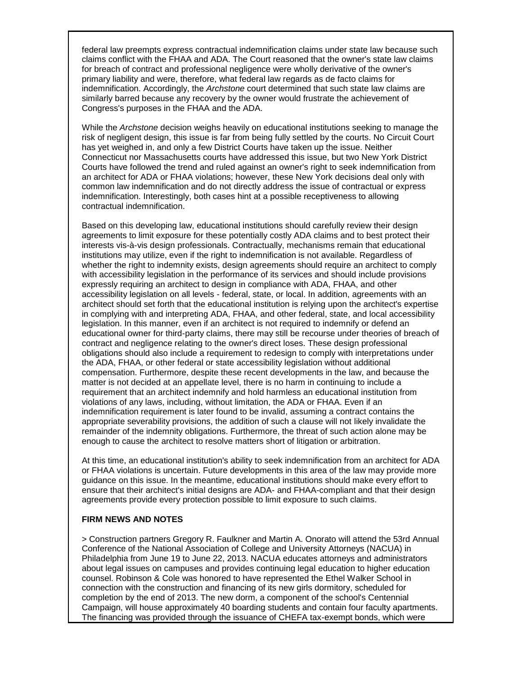federal law preempts express contractual indemnification claims under state law because such claims conflict with the FHAA and ADA. The Court reasoned that the owner's state law claims for breach of contract and professional negligence were wholly derivative of the owner's primary liability and were, therefore, what federal law regards as de facto claims for indemnification. Accordingly, the *Archstone* court determined that such state law claims are similarly barred because any recovery by the owner would frustrate the achievement of Congress's purposes in the FHAA and the ADA.

While the *Archstone* decision weighs heavily on educational institutions seeking to manage the risk of negligent design, this issue is far from being fully settled by the courts. No Circuit Court has yet weighed in, and only a few District Courts have taken up the issue. Neither Connecticut nor Massachusetts courts have addressed this issue, but two New York District Courts have followed the trend and ruled against an owner's right to seek indemnification from an architect for ADA or FHAA violations; however, these New York decisions deal only with common law indemnification and do not directly address the issue of contractual or express indemnification. Interestingly, both cases hint at a possible receptiveness to allowing contractual indemnification.

Based on this developing law, educational institutions should carefully review their design agreements to limit exposure for these potentially costly ADA claims and to best protect their interests vis-à-vis design professionals. Contractually, mechanisms remain that educational institutions may utilize, even if the right to indemnification is not available. Regardless of whether the right to indemnity exists, design agreements should require an architect to comply with accessibility legislation in the performance of its services and should include provisions expressly requiring an architect to design in compliance with ADA, FHAA, and other accessibility legislation on all levels - federal, state, or local. In addition, agreements with an architect should set forth that the educational institution is relying upon the architect's expertise in complying with and interpreting ADA, FHAA, and other federal, state, and local accessibility legislation. In this manner, even if an architect is not required to indemnify or defend an educational owner for third-party claims, there may still be recourse under theories of breach of contract and negligence relating to the owner's direct loses. These design professional obligations should also include a requirement to redesign to comply with interpretations under the ADA, FHAA, or other federal or state accessibility legislation without additional compensation. Furthermore, despite these recent developments in the law, and because the matter is not decided at an appellate level, there is no harm in continuing to include a requirement that an architect indemnify and hold harmless an educational institution from violations of any laws, including, without limitation, the ADA or FHAA. Even if an indemnification requirement is later found to be invalid, assuming a contract contains the appropriate severability provisions, the addition of such a clause will not likely invalidate the remainder of the indemnity obligations. Furthermore, the threat of such action alone may be enough to cause the architect to resolve matters short of litigation or arbitration.

At this time, an educational institution's ability to seek indemnification from an architect for ADA or FHAA violations is uncertain. Future developments in this area of the law may provide more guidance on this issue. In the meantime, educational institutions should make every effort to ensure that their architect's initial designs are ADA- and FHAA-compliant and that their design agreements provide every protection possible to limit exposure to such claims.

#### **FIRM NEWS AND NOTES**

> Construction partners Gregory R. Faulkner and Martin A. Onorato will attend the 53rd Annual Conference of the National Association of College and University Attorneys (NACUA) in Philadelphia from June 19 to June 22, 2013. NACUA educates attorneys and administrators about legal issues on campuses and provides continuing legal education to higher education counsel. Robinson & Cole was honored to have represented the Ethel Walker School in connection with the construction and financing of its new girls dormitory, scheduled for completion by the end of 2013. The new dorm, a component of the school's Centennial Campaign, will house approximately 40 boarding students and contain four faculty apartments. The financing was provided through the issuance of CHEFA tax-exempt bonds, which were